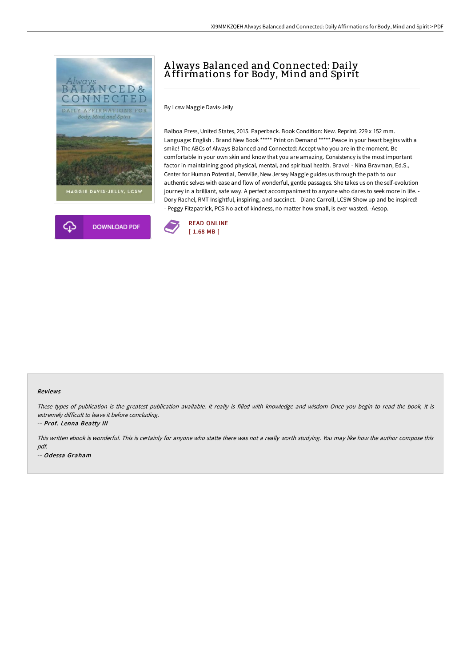



# A lways Balanced and Connected: Daily A ffirmations for Body, Mind and Spirit

By Lcsw Maggie Davis-Jelly

Balboa Press, United States, 2015. Paperback. Book Condition: New. Reprint. 229 x 152 mm. Language: English . Brand New Book \*\*\*\*\* Print on Demand \*\*\*\*\*.Peace in your heart begins with a smile! The ABCs of Always Balanced and Connected: Accept who you are in the moment. Be comfortable in your own skin and know that you are amazing. Consistency is the most important factor in maintaining good physical, mental, and spiritual health. Bravo! - Nina Bravman, Ed.S., Center for Human Potential, Denville, New Jersey Maggie guides us through the path to our authentic selves with ease and flow of wonderful, gentle passages. She takes us on the self-evolution journey in a brilliant, safe way. A perfect accompaniment to anyone who dares to seek more in life. - Dory Rachel, RMT Insightful, inspiring, and succinct. - Diane Carroll, LCSW Show up and be inspired! - Peggy Fitzpatrick, PCS No act of kindness, no matter how small, is ever wasted. -Aesop.



#### Reviews

These types of publication is the greatest publication available. It really is filled with knowledge and wisdom Once you begin to read the book, it is extremely difficult to leave it before concluding.

-- Prof. Lenna Beatty III

This written ebook is wonderful. This is certainly for anyone who statte there was not <sup>a</sup> really worth studying. You may like how the author compose this pdf. -- Odessa Graham